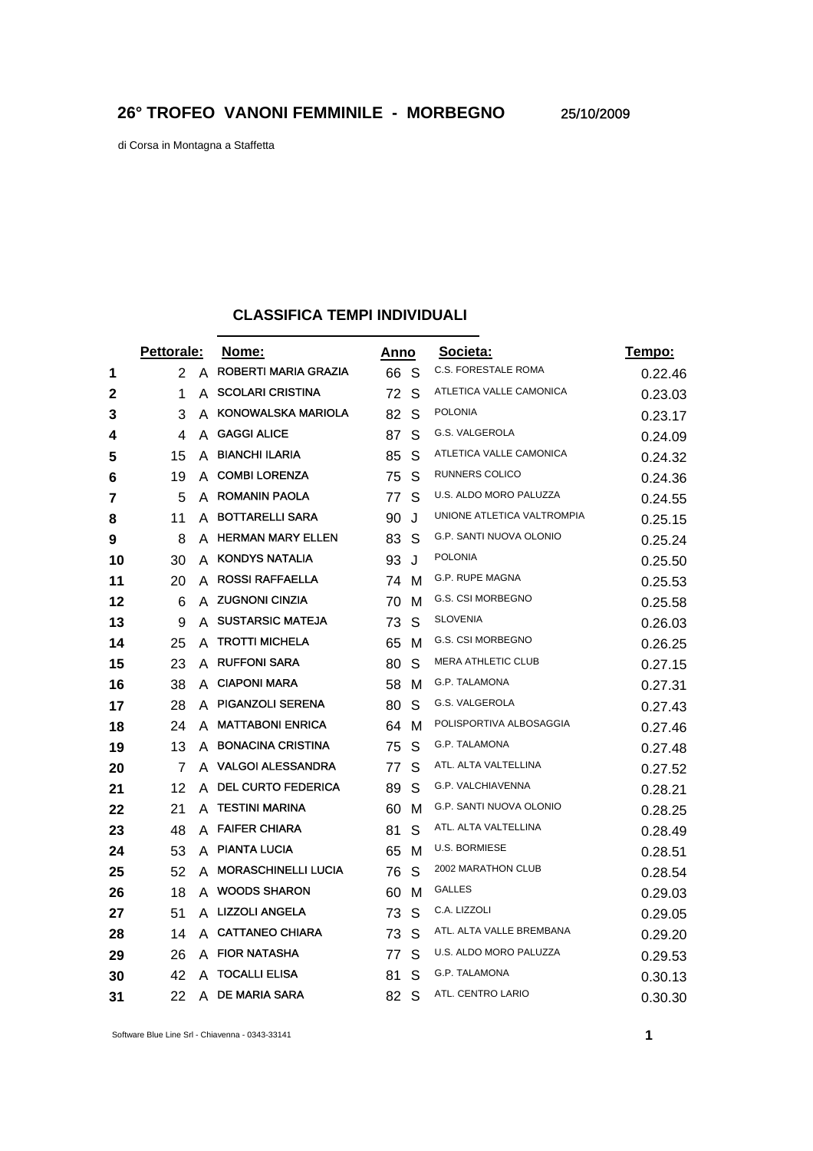di Corsa in Montagna a Staffetta

## **CLASSIFICA TEMPI INDIVIDUALI**

|    | Pettorale: |   | Nome:                      | Anno |    | Societa:                   | <u>Tempo:</u> |
|----|------------|---|----------------------------|------|----|----------------------------|---------------|
| 1  | 2          | A | ROBERTI MARIA GRAZIA       | 66   | -S | C.S. FORESTALE ROMA        | 0.22.46       |
| 2  | 1          | A | <b>SCOLARI CRISTINA</b>    | 72   | S  | ATLETICA VALLE CAMONICA    | 0.23.03       |
| 3  | 3          | A | <b>KONOWALSKA MARIOLA</b>  | 82   | S  | <b>POLONIA</b>             | 0.23.17       |
| 4  | 4          | A | <b>GAGGI ALICE</b>         | 87   | S  | G.S. VALGEROLA             | 0.24.09       |
| 5  | 15         | A | <b>BIANCHI ILARIA</b>      | 85   | S  | ATLETICA VALLE CAMONICA    | 0.24.32       |
| 6  | 19         | A | <b>COMBI LORENZA</b>       | 75   | S  | RUNNERS COLICO             | 0.24.36       |
| 7  | 5          |   | A ROMANIN PAOLA            | 77   | S  | U.S. ALDO MORO PALUZZA     | 0.24.55       |
| 8  | 11         | A | <b>BOTTARELLI SARA</b>     | 90   | J  | UNIONE ATLETICA VALTROMPIA | 0.25.15       |
| 9  | 8          | A | <b>HERMAN MARY ELLEN</b>   | 83   | S  | G.P. SANTI NUOVA OLONIO    | 0.25.24       |
| 10 | 30         | A | <b>KONDYS NATALIA</b>      | 93   | J  | <b>POLONIA</b>             | 0.25.50       |
| 11 | 20         | A | <b>ROSSI RAFFAELLA</b>     | 74   | M  | G.P. RUPE MAGNA            | 0.25.53       |
| 12 | 6          | A | <b>ZUGNONI CINZIA</b>      | 70   | M  | G.S. CSI MORBEGNO          | 0.25.58       |
| 13 | 9          | A | <b>SUSTARSIC MATEJA</b>    | 73   | S  | <b>SLOVENIA</b>            | 0.26.03       |
| 14 | 25         | A | <b>TROTTI MICHELA</b>      | 65   | м  | <b>G.S. CSI MORBEGNO</b>   | 0.26.25       |
| 15 | 23         | A | <b>RUFFONI SARA</b>        | 80   | S  | <b>MERA ATHLETIC CLUB</b>  | 0.27.15       |
| 16 | 38         | A | <b>CIAPONI MARA</b>        | 58   | м  | G.P. TALAMONA              | 0.27.31       |
| 17 | 28         |   | A PIGANZOLI SERENA         | 80   | S  | G.S. VALGEROLA             | 0.27.43       |
| 18 | 24         | A | <b>MATTABONI ENRICA</b>    | 64   | м  | POLISPORTIVA ALBOSAGGIA    | 0.27.46       |
| 19 | 13         | A | <b>BONACINA CRISTINA</b>   | 75   | S  | G.P. TALAMONA              | 0.27.48       |
| 20 | 7          | A | <b>VALGOI ALESSANDRA</b>   | 77   | S  | ATL. ALTA VALTELLINA       | 0.27.52       |
| 21 | 12         | A | <b>DEL CURTO FEDERICA</b>  | 89   | S  | G.P. VALCHIAVENNA          | 0.28.21       |
| 22 | 21         | A | <b>TESTINI MARINA</b>      | 60   | м  | G.P. SANTI NUOVA OLONIO    | 0.28.25       |
| 23 | 48         | A | <b>FAIFER CHIARA</b>       | 81   | S  | ATL. ALTA VALTELLINA       | 0.28.49       |
| 24 | 53         | A | <b>PIANTA LUCIA</b>        | 65   | М  | <b>U.S. BORMIESE</b>       | 0.28.51       |
| 25 | 52         | A | <b>MORASCHINELLI LUCIA</b> | 76   | S  | 2002 MARATHON CLUB         | 0.28.54       |
| 26 | 18         | A | <b>WOODS SHARON</b>        | 60   | м  | <b>GALLES</b>              | 0.29.03       |
| 27 | 51         | A | <b>LIZZOLI ANGELA</b>      | 73   | S  | C.A. LIZZOLI               | 0.29.05       |
| 28 | 14         | A | <b>CATTANEO CHIARA</b>     | 73   | S  | ATL. ALTA VALLE BREMBANA   | 0.29.20       |
| 29 | 26         | A | <b>FIOR NATASHA</b>        | 77   | S  | U.S. ALDO MORO PALUZZA     | 0.29.53       |
| 30 | 42         | А | <b>TOCALLI ELISA</b>       | 81   | S  | <b>G.P. TALAMONA</b>       | 0.30.13       |
| 31 | 22         | A | <b>DE MARIA SARA</b>       | 82   | S  | ATL. CENTRO LARIO          | 0.30.30       |